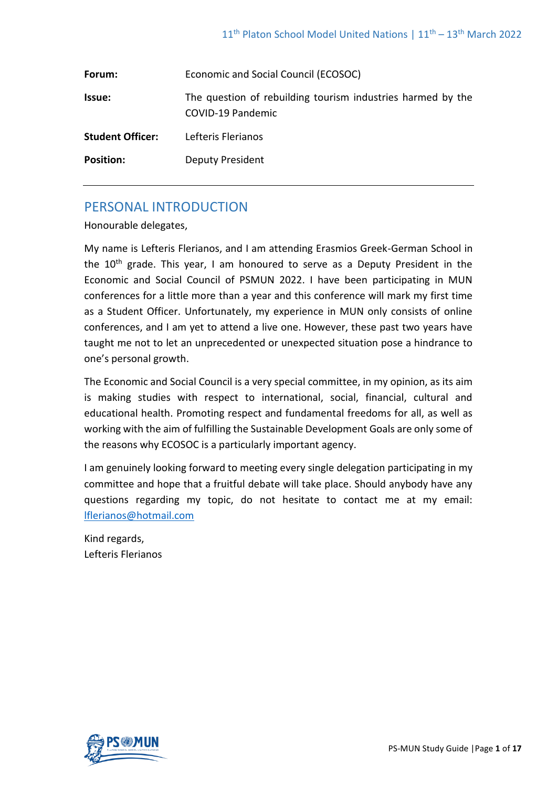| Forum:                  | Economic and Social Council (ECOSOC)                                             |
|-------------------------|----------------------------------------------------------------------------------|
| <b>Issue:</b>           | The question of rebuilding tourism industries harmed by the<br>COVID-19 Pandemic |
| <b>Student Officer:</b> | Lefteris Flerianos                                                               |
| <b>Position:</b>        | <b>Deputy President</b>                                                          |

# PERSONAL INTRODUCTION

Honourable delegates,

My name is Lefteris Flerianos, and I am attending Erasmios Greek-German School in the  $10<sup>th</sup>$  grade. This year, I am honoured to serve as a Deputy President in the Economic and Social Council of PSMUN 2022. I have been participating in MUN conferences for a little more than a year and this conference will mark my first time as a Student Officer. Unfortunately, my experience in MUN only consists of online conferences, and I am yet to attend a live one. However, these past two years have taught me not to let an unprecedented or unexpected situation pose a hindrance to one's personal growth.

The Economic and Social Council is a very special committee, in my opinion, as its aim is making studies with respect to international, social, financial, cultural and educational health. Promoting respect and fundamental freedoms for all, as well as working with the aim of fulfilling the Sustainable Development Goals are only some of the reasons why ECOSOC is a particularly important agency.

I am genuinely looking forward to meeting every single delegation participating in my committee and hope that a fruitful debate will take place. Should anybody have any questions regarding my topic, do not hesitate to contact me at my email: [lflerianos@hotmail.com](mailto:lflerianos@hotmail.com)

Kind regards, Lefteris Flerianos

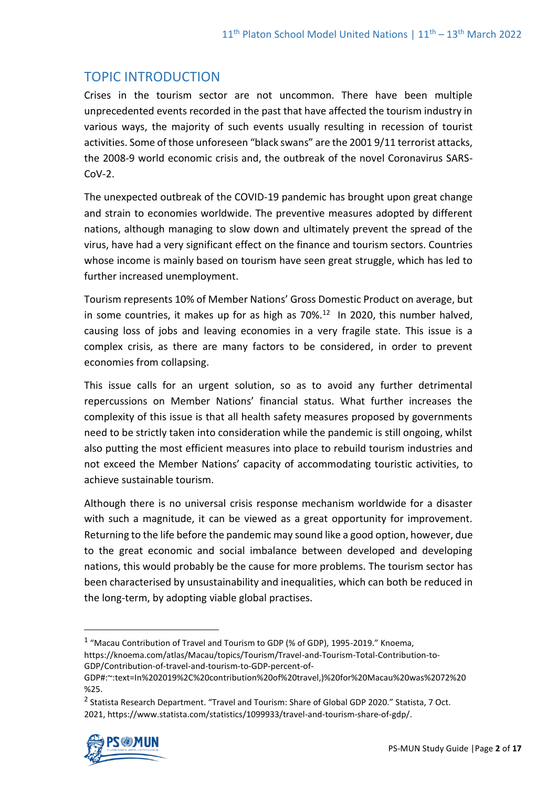# TOPIC INTRODUCTION

Crises in the tourism sector are not uncommon. There have been multiple unprecedented events recorded in the past that have affected the tourism industry in various ways, the majority of such events usually resulting in recession of tourist activities. Some of those unforeseen "black swans" are the 2001 9/11 terrorist attacks, the 2008-9 world economic crisis and, the outbreak of the novel Coronavirus SARS- $Cov-2$ .

The unexpected outbreak of the COVID-19 pandemic has brought upon great change and strain to economies worldwide. The preventive measures adopted by different nations, although managing to slow down and ultimately prevent the spread of the virus, have had a very significant effect on the finance and tourism sectors. Countries whose income is mainly based on tourism have seen great struggle, which has led to further increased unemployment.

Tourism represents 10% of Member Nations' Gross Domestic Product on average, but in some countries, it makes up for as high as  $70\%$ .<sup>12</sup> In 2020, this number halved, causing loss of jobs and leaving economies in a very fragile state. This issue is a complex crisis, as there are many factors to be considered, in order to prevent economies from collapsing.

This issue calls for an urgent solution, so as to avoid any further detrimental repercussions on Member Nations' financial status. What further increases the complexity of this issue is that all health safety measures proposed by governments need to be strictly taken into consideration while the pandemic is still ongoing, whilst also putting the most efficient measures into place to rebuild tourism industries and not exceed the Member Nations' capacity of accommodating touristic activities, to achieve sustainable tourism.

Although there is no universal crisis response mechanism worldwide for a disaster with such a magnitude, it can be viewed as a great opportunity for improvement. Returning to the life before the pandemic may sound like a good option, however, due to the great economic and social imbalance between developed and developing nations, this would probably be the cause for more problems. The tourism sector has been characterised by unsustainability and inequalities, which can both be reduced in the long-term, by adopting viable global practises.

<sup>&</sup>lt;sup>2</sup> Statista Research Department. "Travel and Tourism: Share of Global GDP 2020." Statista, 7 Oct. 2021, https://www.statista.com/statistics/1099933/travel-and-tourism-share-of-gdp/.



 $1$  "Macau Contribution of Travel and Tourism to GDP (% of GDP), 1995-2019." Knoema, https://knoema.com/atlas/Macau/topics/Tourism/Travel-and-Tourism-Total-Contribution-to-GDP/Contribution-of-travel-and-tourism-to-GDP-percent-of-

GDP#:~:text=In%202019%2C%20contribution%20of%20travel,)%20for%20Macau%20was%2072%20 %25.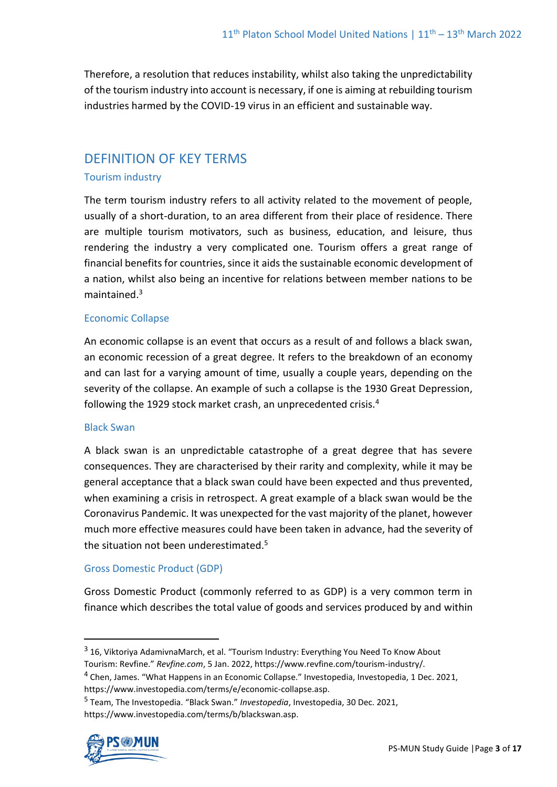Therefore, a resolution that reduces instability, whilst also taking the unpredictability of the tourism industry into account is necessary, if one is aiming at rebuilding tourism industries harmed by the COVID-19 virus in an efficient and sustainable way.

## DEFINITION OF KEY TERMS

### Tourism industry

The term tourism industry refers to all activity related to the movement of people, usually of a short-duration, to an area different from their place of residence. There are multiple tourism motivators, such as business, education, and leisure, thus rendering the industry a very complicated one. Tourism offers a great range of financial benefits for countries, since it aids the sustainable economic development of a nation, whilst also being an incentive for relations between member nations to be maintained<sup>3</sup>

### Economic Collapse

An economic collapse is an event that occurs as a result of and follows a black swan, an economic recession of a great degree. It refers to the breakdown of an economy and can last for a varying amount of time, usually a couple years, depending on the severity of the collapse. An example of such a collapse is the 1930 Great Depression, following the 1929 stock market crash, an unprecedented crisis.<sup>4</sup>

#### Black Swan

A black swan is an unpredictable catastrophe of a great degree that has severe consequences. They are characterised by their rarity and complexity, while it may be general acceptance that a black swan could have been expected and thus prevented, when examining a crisis in retrospect. A great example of a black swan would be the Coronavirus Pandemic. It was unexpected for the vast majority of the planet, however much more effective measures could have been taken in advance, had the severity of the situation not been underestimated.<sup>5</sup>

#### Gross Domestic Product (GDP)

Gross Domestic Product (commonly referred to as GDP) is a very common term in finance which describes the total value of goods and services produced by and within

<sup>5</sup> Team, The Investopedia. "Black Swan." *Investopedia*, Investopedia, 30 Dec. 2021, https://www.investopedia.com/terms/b/blackswan.asp.



<sup>&</sup>lt;sup>3</sup> 16, Viktoriya AdamivnaMarch, et al. "Tourism Industry: Everything You Need To Know About Tourism: Revfine." *Revfine.com*, 5 Jan. 2022, https://www.revfine.com/tourism-industry/.

<sup>&</sup>lt;sup>4</sup> Chen, James. "What Happens in an Economic Collapse." Investopedia, Investopedia, 1 Dec. 2021, https://www.investopedia.com/terms/e/economic-collapse.asp.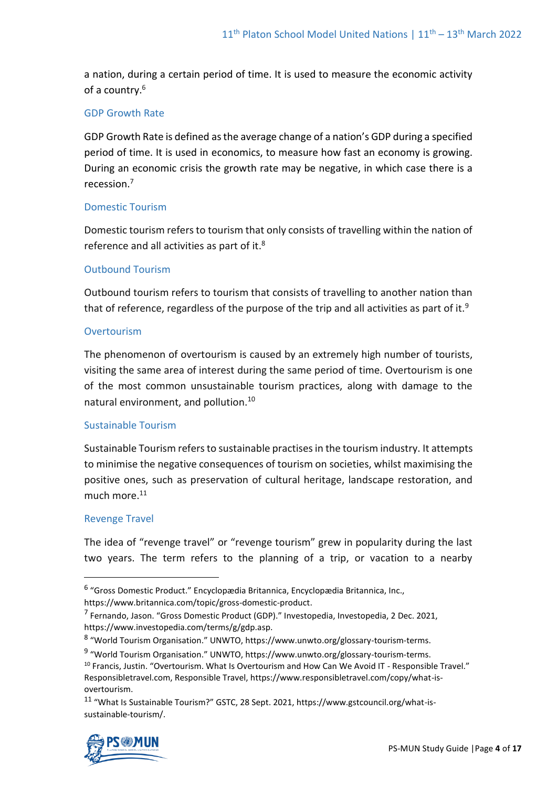a nation, during a certain period of time. It is used to measure the economic activity of a country.<sup>6</sup>

#### GDP Growth Rate

GDP Growth Rate is defined as the average change of a nation's GDP during a specified period of time. It is used in economics, to measure how fast an economy is growing. During an economic crisis the growth rate may be negative, in which case there is a recession.<sup>7</sup>

### Domestic Tourism

Domestic tourism refers to tourism that only consists of travelling within the nation of reference and all activities as part of it.<sup>8</sup>

#### Outbound Tourism

Outbound tourism refers to tourism that consists of travelling to another nation than that of reference, regardless of the purpose of the trip and all activities as part of it.<sup>9</sup>

#### **Overtourism**

The phenomenon of overtourism is caused by an extremely high number of tourists, visiting the same area of interest during the same period of time. Overtourism is one of the most common unsustainable tourism practices, along with damage to the natural environment, and pollution.<sup>10</sup>

#### Sustainable Tourism

Sustainable Tourism refers to sustainable practises in the tourism industry. It attempts to minimise the negative consequences of tourism on societies, whilst maximising the positive ones, such as preservation of cultural heritage, landscape restoration, and much more. $11$ 

#### Revenge Travel

The idea of "revenge travel" or "revenge tourism" grew in popularity during the last two years. The term refers to the planning of a trip, or vacation to a nearby

<sup>11</sup> "What Is Sustainable Tourism?" GSTC, 28 Sept. 2021, https://www.gstcouncil.org/what-issustainable-tourism/.



<sup>&</sup>lt;sup>6</sup> "Gross Domestic Product." Encyclopædia Britannica, Encyclopædia Britannica, Inc., https://www.britannica.com/topic/gross-domestic-product.

<sup>&</sup>lt;sup>7</sup> Fernando, Jason. "Gross Domestic Product (GDP)." Investopedia, Investopedia, 2 Dec. 2021, https://www.investopedia.com/terms/g/gdp.asp.

<sup>8</sup> "World Tourism Organisation." UNWTO, https://www.unwto.org/glossary-tourism-terms.

<sup>&</sup>lt;sup>9</sup> "World Tourism Organisation." UNWTO, https://www.unwto.org/glossary-tourism-terms.

<sup>10</sup> Francis, Justin. "Overtourism. What Is Overtourism and How Can We Avoid IT - Responsible Travel." Responsibletravel.com, Responsible Travel, https://www.responsibletravel.com/copy/what-isovertourism.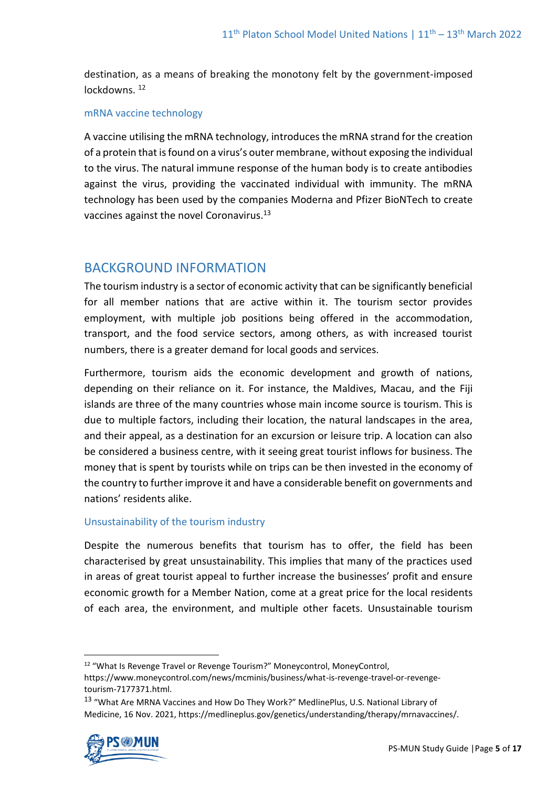destination, as a means of breaking the monotony felt by the government-imposed lockdowns.<sup>12</sup>

#### mRNA vaccine technology

A vaccine utilising the mRNA technology, introduces the mRNA strand for the creation of a protein that is found on a virus's outer membrane, without exposing the individual to the virus. The natural immune response of the human body is to create antibodies against the virus, providing the vaccinated individual with immunity. The mRNA technology has been used by the companies Moderna and Pfizer BioNTech to create vaccines against the novel Coronavirus.<sup>13</sup>

## BACKGROUND INFORMATION

The tourism industry is a sector of economic activity that can be significantly beneficial for all member nations that are active within it. The tourism sector provides employment, with multiple job positions being offered in the accommodation, transport, and the food service sectors, among others, as with increased tourist numbers, there is a greater demand for local goods and services.

Furthermore, tourism aids the economic development and growth of nations, depending on their reliance on it. For instance, the Maldives, Macau, and the Fiji islands are three of the many countries whose main income source is tourism. This is due to multiple factors, including their location, the natural landscapes in the area, and their appeal, as a destination for an excursion or leisure trip. A location can also be considered a business centre, with it seeing great tourist inflows for business. The money that is spent by tourists while on trips can be then invested in the economy of the country to further improve it and have a considerable benefit on governments and nations' residents alike.

## Unsustainability of the tourism industry

Despite the numerous benefits that tourism has to offer, the field has been characterised by great unsustainability. This implies that many of the practices used in areas of great tourist appeal to further increase the businesses' profit and ensure economic growth for a Member Nation, come at a great price for the local residents of each area, the environment, and multiple other facets. Unsustainable tourism

<sup>13</sup> "What Are MRNA Vaccines and How Do They Work?" MedlinePlus, U.S. National Library of Medicine, 16 Nov. 2021, https://medlineplus.gov/genetics/understanding/therapy/mrnavaccines/.



<sup>12</sup> "What Is Revenge Travel or Revenge Tourism?" Moneycontrol, MoneyControl, https://www.moneycontrol.com/news/mcminis/business/what-is-revenge-travel-or-revengetourism-7177371.html.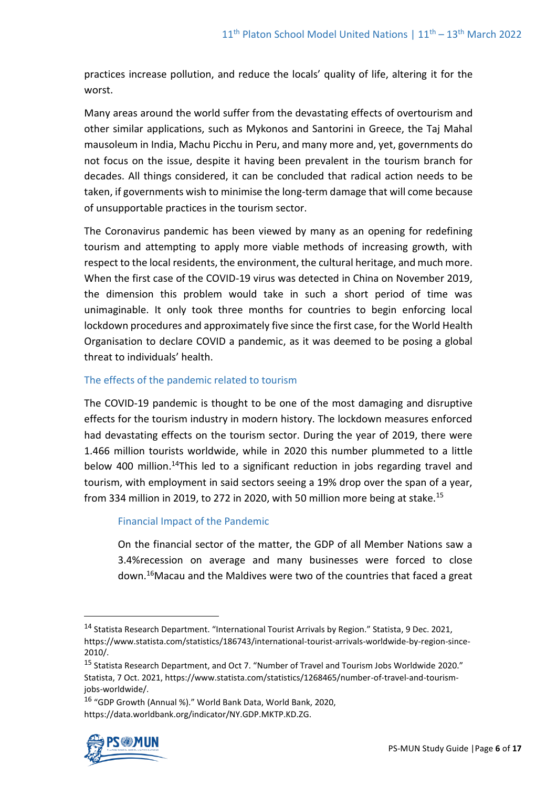practices increase pollution, and reduce the locals' quality of life, altering it for the worst.

Many areas around the world suffer from the devastating effects of overtourism and other similar applications, such as Mykonos and Santorini in Greece, the Taj Mahal mausoleum in India, Machu Picchu in Peru, and many more and, yet, governments do not focus on the issue, despite it having been prevalent in the tourism branch for decades. All things considered, it can be concluded that radical action needs to be taken, if governments wish to minimise the long-term damage that will come because of unsupportable practices in the tourism sector.

The Coronavirus pandemic has been viewed by many as an opening for redefining tourism and attempting to apply more viable methods of increasing growth, with respect to the local residents, the environment, the cultural heritage, and much more. When the first case of the COVID-19 virus was detected in China on November 2019, the dimension this problem would take in such a short period of time was unimaginable. It only took three months for countries to begin enforcing local lockdown procedures and approximately five since the first case, for the World Health Organisation to declare COVID a pandemic, as it was deemed to be posing a global threat to individuals' health.

## The effects of the pandemic related to tourism

The COVID-19 pandemic is thought to be one of the most damaging and disruptive effects for the tourism industry in modern history. The lockdown measures enforced had devastating effects on the tourism sector. During the year of 2019, there were 1.466 million tourists worldwide, while in 2020 this number plummeted to a little below 400 million.<sup>14</sup>This led to a significant reduction in jobs regarding travel and tourism, with employment in said sectors seeing a 19% drop over the span of a year, from 334 million in 2019, to 272 in 2020, with 50 million more being at stake.<sup>15</sup>

## Financial Impact of the Pandemic

On the financial sector of the matter, the GDP of all Member Nations saw a 3.4%recession on average and many businesses were forced to close down. <sup>16</sup>Macau and the Maldives were two of the countries that faced a great

<sup>16</sup> "GDP Growth (Annual %)." World Bank Data, World Bank, 2020, https://data.worldbank.org/indicator/NY.GDP.MKTP.KD.ZG.



<sup>14</sup> Statista Research Department. "International Tourist Arrivals by Region." Statista, 9 Dec. 2021, https://www.statista.com/statistics/186743/international-tourist-arrivals-worldwide-by-region-since-2010/.

<sup>15</sup> Statista Research Department, and Oct 7. "Number of Travel and Tourism Jobs Worldwide 2020." Statista, 7 Oct. 2021, https://www.statista.com/statistics/1268465/number-of-travel-and-tourismjobs-worldwide/.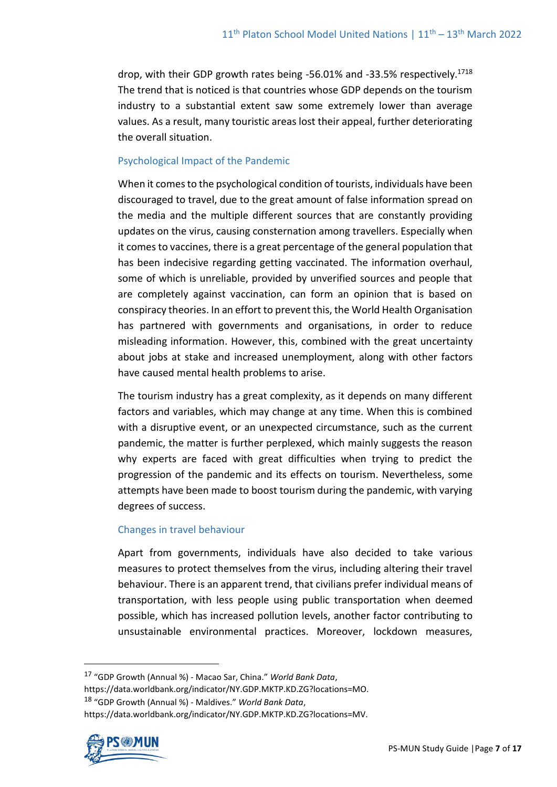drop, with their GDP growth rates being -56.01% and -33.5% respectively.<sup>1718</sup> The trend that is noticed is that countries whose GDP depends on the tourism industry to a substantial extent saw some extremely lower than average values. As a result, many touristic areas lost their appeal, further deteriorating the overall situation.

## Psychological Impact of the Pandemic

When it comes to the psychological condition of tourists, individuals have been discouraged to travel, due to the great amount of false information spread on the media and the multiple different sources that are constantly providing updates on the virus, causing consternation among travellers. Especially when it comes to vaccines, there is a great percentage of the general population that has been indecisive regarding getting vaccinated. The information overhaul, some of which is unreliable, provided by unverified sources and people that are completely against vaccination, can form an opinion that is based on conspiracy theories. In an effort to prevent this, the World Health Organisation has partnered with governments and organisations, in order to reduce misleading information. However, this, combined with the great uncertainty about jobs at stake and increased unemployment, along with other factors have caused mental health problems to arise.

The tourism industry has a great complexity, as it depends on many different factors and variables, which may change at any time. When this is combined with a disruptive event, or an unexpected circumstance, such as the current pandemic, the matter is further perplexed, which mainly suggests the reason why experts are faced with great difficulties when trying to predict the progression of the pandemic and its effects on tourism. Nevertheless, some attempts have been made to boost tourism during the pandemic, with varying degrees of success.

#### Changes in travel behaviour

Apart from governments, individuals have also decided to take various measures to protect themselves from the virus, including altering their travel behaviour. There is an apparent trend, that civilians prefer individual means of transportation, with less people using public transportation when deemed possible, which has increased pollution levels, another factor contributing to unsustainable environmental practices. Moreover, lockdown measures,

<sup>18</sup> "GDP Growth (Annual %) - Maldives." *World Bank Data*,

https://data.worldbank.org/indicator/NY.GDP.MKTP.KD.ZG?locations=MV.



<sup>17</sup> "GDP Growth (Annual %) - Macao Sar, China." *World Bank Data*,

https://data.worldbank.org/indicator/NY.GDP.MKTP.KD.ZG?locations=MO.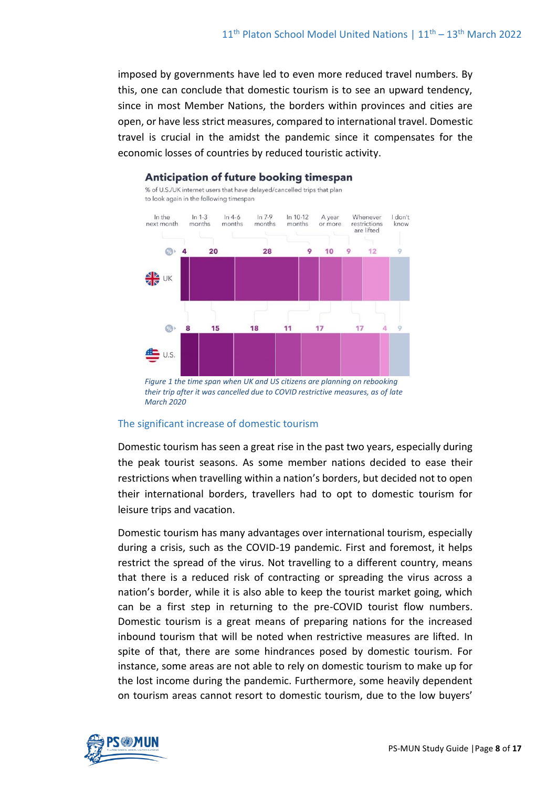imposed by governments have led to even more reduced travel numbers. By this, one can conclude that domestic tourism is to see an upward tendency, since in most Member Nations, the borders within provinces and cities are open, or have less strict measures, compared to international travel. Domestic travel is crucial in the amidst the pandemic since it compensates for the economic losses of countries by reduced touristic activity.



#### Anticipation of future booking timespan

% of U.S./UK internet users that have delayed/cancelled trips that plan

#### The significant increase of domestic tourism

Domestic tourism has seen a great rise in the past two years, especially during the peak tourist seasons. As some member nations decided to ease their restrictions when travelling within a nation's borders, but decided not to open their international borders, travellers had to opt to domestic tourism for leisure trips and vacation.

Domestic tourism has many advantages over international tourism, especially during a crisis, such as the COVID-19 pandemic. First and foremost, it helps restrict the spread of the virus. Not travelling to a different country, means that there is a reduced risk of contracting or spreading the virus across a nation's border, while it is also able to keep the tourist market going, which can be a first step in returning to the pre-COVID tourist flow numbers. Domestic tourism is a great means of preparing nations for the increased inbound tourism that will be noted when restrictive measures are lifted. In spite of that, there are some hindrances posed by domestic tourism. For instance, some areas are not able to rely on domestic tourism to make up for the lost income during the pandemic. Furthermore, some heavily dependent on tourism areas cannot resort to domestic tourism, due to the low buyers'



*their trip after it was cancelled due to COVID restrictive measures, as of late March 2020*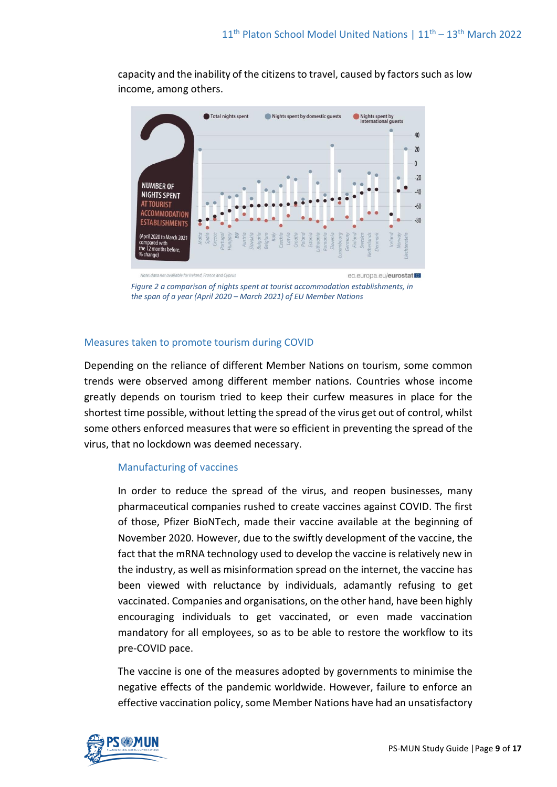

capacity and the inability of the citizens to travel, caused by factors such as low income, among others.

*Figure 2 a comparison of nights spent at tourist accommodation establishments, in the span of a year (April 2020 – March 2021) of EU Member Nations*

#### Measures taken to promote tourism during COVID

Depending on the reliance of different Member Nations on tourism, some common trends were observed among different member nations. Countries whose income greatly depends on tourism tried to keep their curfew measures in place for the shortest time possible, without letting the spread of the virus get out of control, whilst some others enforced measures that were so efficient in preventing the spread of the virus, that no lockdown was deemed necessary.

#### Manufacturing of vaccines

In order to reduce the spread of the virus, and reopen businesses, many pharmaceutical companies rushed to create vaccines against COVID. The first of those, Pfizer BioNTech, made their vaccine available at the beginning of November 2020. However, due to the swiftly development of the vaccine, the fact that the mRNA technology used to develop the vaccine is relatively new in the industry, as well as misinformation spread on the internet, the vaccine has been viewed with reluctance by individuals, adamantly refusing to get vaccinated. Companies and organisations, on the other hand, have been highly encouraging individuals to get vaccinated, or even made vaccination mandatory for all employees, so as to be able to restore the workflow to its pre-COVID pace.

The vaccine is one of the measures adopted by governments to minimise the negative effects of the pandemic worldwide. However, failure to enforce an effective vaccination policy, some Member Nations have had an unsatisfactory

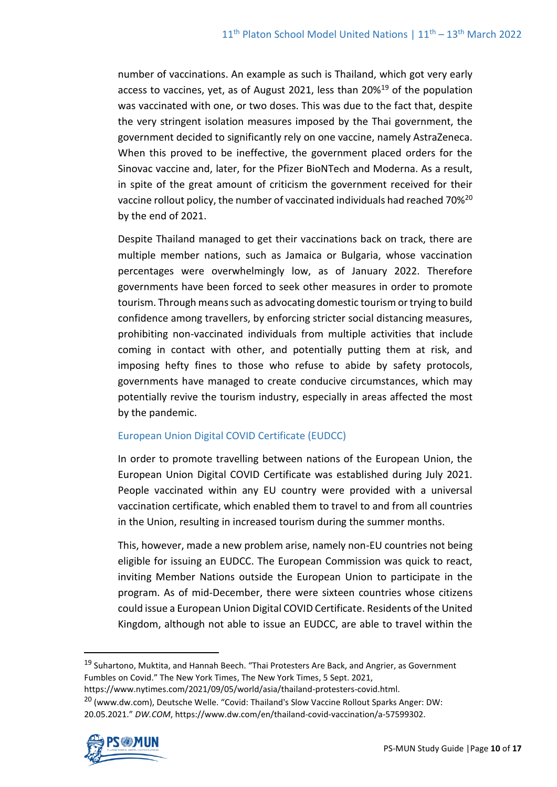number of vaccinations. An example as such is Thailand, which got very early access to vaccines, yet, as of August 2021, less than 20%<sup>19</sup> of the population was vaccinated with one, or two doses. This was due to the fact that, despite the very stringent isolation measures imposed by the Thai government, the government decided to significantly rely on one vaccine, namely AstraZeneca. When this proved to be ineffective, the government placed orders for the Sinovac vaccine and, later, for the Pfizer BioNTech and Moderna. As a result, in spite of the great amount of criticism the government received for their vaccine rollout policy, the number of vaccinated individuals had reached 70%<sup>20</sup> by the end of 2021.

Despite Thailand managed to get their vaccinations back on track, there are multiple member nations, such as Jamaica or Bulgaria, whose vaccination percentages were overwhelmingly low, as of January 2022. Therefore governments have been forced to seek other measures in order to promote tourism. Through means such as advocating domestic tourism or trying to build confidence among travellers, by enforcing stricter social distancing measures, prohibiting non-vaccinated individuals from multiple activities that include coming in contact with other, and potentially putting them at risk, and imposing hefty fines to those who refuse to abide by safety protocols, governments have managed to create conducive circumstances, which may potentially revive the tourism industry, especially in areas affected the most by the pandemic.

## European Union Digital COVID Certificate (EUDCC)

In order to promote travelling between nations of the European Union, the European Union Digital COVID Certificate was established during July 2021. People vaccinated within any EU country were provided with a universal vaccination certificate, which enabled them to travel to and from all countries in the Union, resulting in increased tourism during the summer months.

This, however, made a new problem arise, namely non-EU countries not being eligible for issuing an EUDCC. The European Commission was quick to react, inviting Member Nations outside the European Union to participate in the program. As of mid-December, there were sixteen countries whose citizens could issue a European Union Digital COVID Certificate. Residents of the United Kingdom, although not able to issue an EUDCC, are able to travel within the

<sup>19</sup> Suhartono, Muktita, and Hannah Beech. "Thai Protesters Are Back, and Angrier, as Government Fumbles on Covid." The New York Times, The New York Times, 5 Sept. 2021,

https://www.nytimes.com/2021/09/05/world/asia/thailand-protesters-covid.html.

<sup>&</sup>lt;sup>20</sup> (www.dw.com), Deutsche Welle. "Covid: Thailand's Slow Vaccine Rollout Sparks Anger: DW: 20.05.2021." *DW.COM*, https://www.dw.com/en/thailand-covid-vaccination/a-57599302.

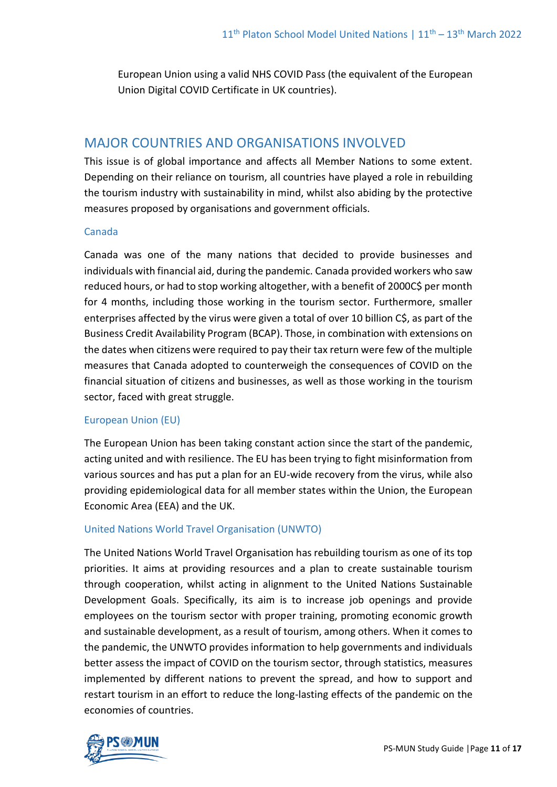European Union using a valid NHS COVID Pass (the equivalent of the European Union Digital COVID Certificate in UK countries).

# MAJOR COUNTRIES AND ORGANISATIONS INVOLVED

This issue is of global importance and affects all Member Nations to some extent. Depending on their reliance on tourism, all countries have played a role in rebuilding the tourism industry with sustainability in mind, whilst also abiding by the protective measures proposed by organisations and government officials.

### Canada

Canada was one of the many nations that decided to provide businesses and individuals with financial aid, during the pandemic. Canada provided workers who saw reduced hours, or had to stop working altogether, with a benefit of 2000C\$ per month for 4 months, including those working in the tourism sector. Furthermore, smaller enterprises affected by the virus were given a total of over 10 billion C\$, as part of the Business Credit Availability Program (BCAP). Those, in combination with extensions on the dates when citizens were required to pay their tax return were few of the multiple measures that Canada adopted to counterweigh the consequences of COVID on the financial situation of citizens and businesses, as well as those working in the tourism sector, faced with great struggle.

## European Union (EU)

The European Union has been taking constant action since the start of the pandemic, acting united and with resilience. The EU has been trying to fight misinformation from various sources and has put a plan for an EU-wide recovery from the virus, while also providing epidemiological data for all member states within the Union, the European Economic Area (EEA) and the UK.

## United Nations World Travel Organisation (UNWTO)

The United Nations World Travel Organisation has rebuilding tourism as one of its top priorities. It aims at providing resources and a plan to create sustainable tourism through cooperation, whilst acting in alignment to the United Nations Sustainable Development Goals. Specifically, its aim is to increase job openings and provide employees on the tourism sector with proper training, promoting economic growth and sustainable development, as a result of tourism, among others. When it comes to the pandemic, the UNWTO provides information to help governments and individuals better assess the impact of COVID on the tourism sector, through statistics, measures implemented by different nations to prevent the spread, and how to support and restart tourism in an effort to reduce the long-lasting effects of the pandemic on the economies of countries.

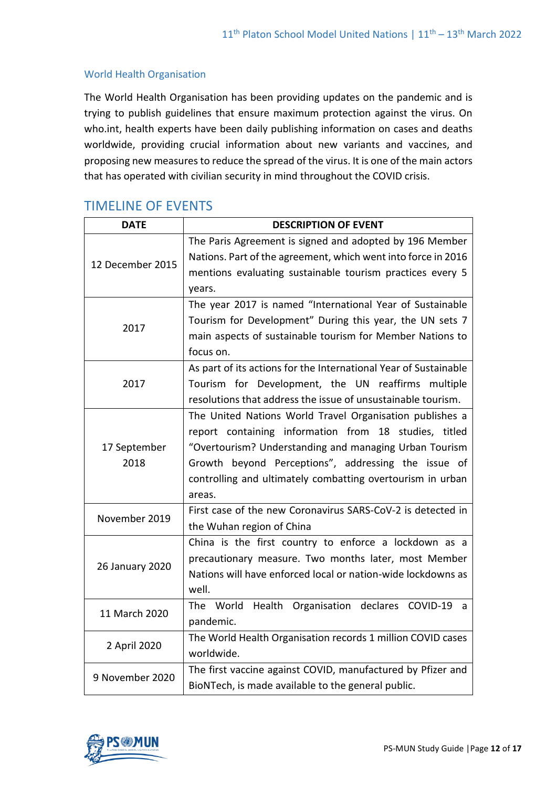### World Health Organisation

The World Health Organisation has been providing updates on the pandemic and is trying to publish guidelines that ensure maximum protection against the virus. On who.int, health experts have been daily publishing information on cases and deaths worldwide, providing crucial information about new variants and vaccines, and proposing new measures to reduce the spread of the virus. It is one of the main actors that has operated with civilian security in mind throughout the COVID crisis.

# TIMELINE OF EVENTS

| <b>DATE</b>      | <b>DESCRIPTION OF EVENT</b>                                      |
|------------------|------------------------------------------------------------------|
| 12 December 2015 | The Paris Agreement is signed and adopted by 196 Member          |
|                  | Nations. Part of the agreement, which went into force in 2016    |
|                  | mentions evaluating sustainable tourism practices every 5        |
|                  | years.                                                           |
| 2017             | The year 2017 is named "International Year of Sustainable        |
|                  | Tourism for Development" During this year, the UN sets 7         |
|                  | main aspects of sustainable tourism for Member Nations to        |
|                  | focus on.                                                        |
| 2017             | As part of its actions for the International Year of Sustainable |
|                  | Tourism for Development, the UN reaffirms multiple               |
|                  | resolutions that address the issue of unsustainable tourism.     |
|                  | The United Nations World Travel Organisation publishes a         |
|                  | report containing information from 18 studies, titled            |
| 17 September     | "Overtourism? Understanding and managing Urban Tourism           |
| 2018             | Growth beyond Perceptions", addressing the issue of              |
|                  | controlling and ultimately combatting overtourism in urban       |
|                  | areas.                                                           |
| November 2019    | First case of the new Coronavirus SARS-CoV-2 is detected in      |
|                  | the Wuhan region of China                                        |
| 26 January 2020  | China is the first country to enforce a lockdown as a            |
|                  | precautionary measure. Two months later, most Member             |
|                  | Nations will have enforced local or nation-wide lockdowns as     |
|                  | well.                                                            |
| 11 March 2020    | The World<br>Health Organisation declares<br>COVID-19<br>a       |
|                  | pandemic.                                                        |
| 2 April 2020     | The World Health Organisation records 1 million COVID cases      |
|                  | worldwide.                                                       |
| 9 November 2020  | The first vaccine against COVID, manufactured by Pfizer and      |
|                  | BioNTech, is made available to the general public.               |

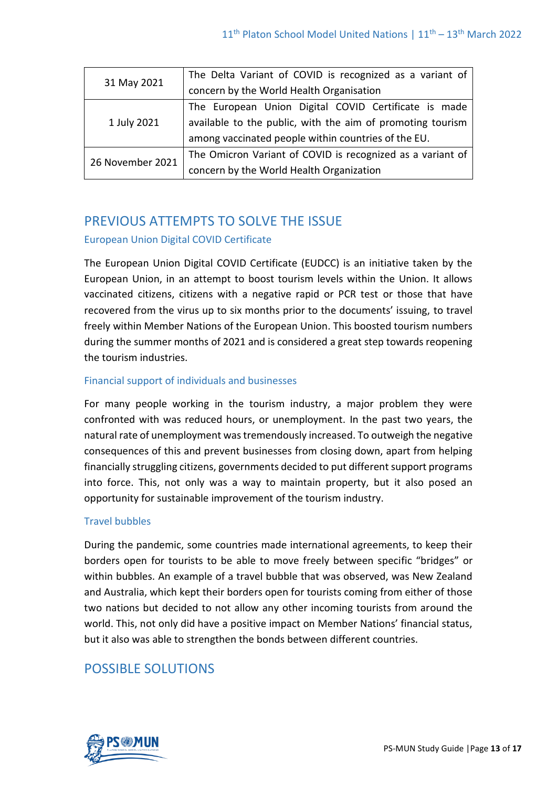| 31 May 2021      | The Delta Variant of COVID is recognized as a variant of   |
|------------------|------------------------------------------------------------|
|                  | concern by the World Health Organisation                   |
| 1 July 2021      | The European Union Digital COVID Certificate is made       |
|                  | available to the public, with the aim of promoting tourism |
|                  | among vaccinated people within countries of the EU.        |
| 26 November 2021 | The Omicron Variant of COVID is recognized as a variant of |
|                  | concern by the World Health Organization                   |

# PREVIOUS ATTEMPTS TO SOLVE THE ISSUE

## European Union Digital COVID Certificate

The European Union Digital COVID Certificate (EUDCC) is an initiative taken by the European Union, in an attempt to boost tourism levels within the Union. It allows vaccinated citizens, citizens with a negative rapid or PCR test or those that have recovered from the virus up to six months prior to the documents' issuing, to travel freely within Member Nations of the European Union. This boosted tourism numbers during the summer months of 2021 and is considered a great step towards reopening the tourism industries.

## Financial support of individuals and businesses

For many people working in the tourism industry, a major problem they were confronted with was reduced hours, or unemployment. In the past two years, the natural rate of unemployment was tremendously increased. To outweigh the negative consequences of this and prevent businesses from closing down, apart from helping financially struggling citizens, governments decided to put different support programs into force. This, not only was a way to maintain property, but it also posed an opportunity for sustainable improvement of the tourism industry.

## Travel bubbles

During the pandemic, some countries made international agreements, to keep their borders open for tourists to be able to move freely between specific "bridges" or within bubbles. An example of a travel bubble that was observed, was New Zealand and Australia, which kept their borders open for tourists coming from either of those two nations but decided to not allow any other incoming tourists from around the world. This, not only did have a positive impact on Member Nations' financial status, but it also was able to strengthen the bonds between different countries.

# POSSIBLE SOLUTIONS

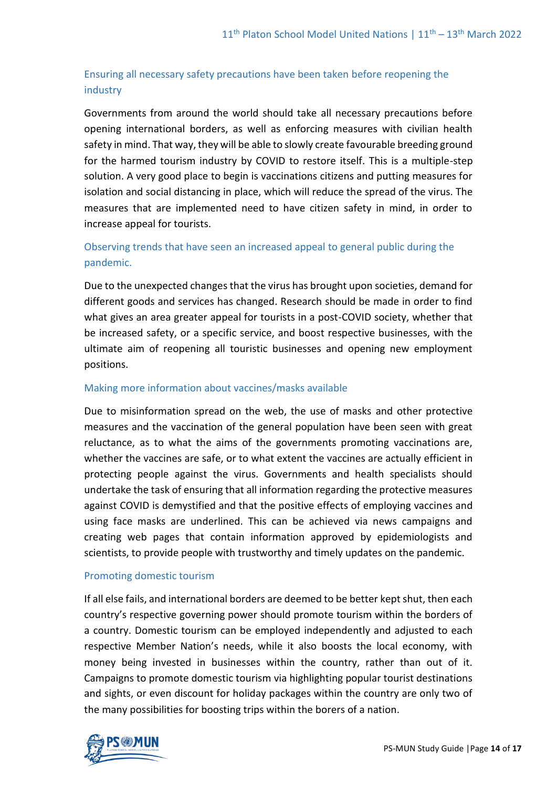## Ensuring all necessary safety precautions have been taken before reopening the industry

Governments from around the world should take all necessary precautions before opening international borders, as well as enforcing measures with civilian health safety in mind. That way, they will be able to slowly create favourable breeding ground for the harmed tourism industry by COVID to restore itself. This is a multiple-step solution. A very good place to begin is vaccinations citizens and putting measures for isolation and social distancing in place, which will reduce the spread of the virus. The measures that are implemented need to have citizen safety in mind, in order to increase appeal for tourists.

## Observing trends that have seen an increased appeal to general public during the pandemic.

Due to the unexpected changes that the virus has brought upon societies, demand for different goods and services has changed. Research should be made in order to find what gives an area greater appeal for tourists in a post-COVID society, whether that be increased safety, or a specific service, and boost respective businesses, with the ultimate aim of reopening all touristic businesses and opening new employment positions.

### Making more information about vaccines/masks available

Due to misinformation spread on the web, the use of masks and other protective measures and the vaccination of the general population have been seen with great reluctance, as to what the aims of the governments promoting vaccinations are, whether the vaccines are safe, or to what extent the vaccines are actually efficient in protecting people against the virus. Governments and health specialists should undertake the task of ensuring that all information regarding the protective measures against COVID is demystified and that the positive effects of employing vaccines and using face masks are underlined. This can be achieved via news campaigns and creating web pages that contain information approved by epidemiologists and scientists, to provide people with trustworthy and timely updates on the pandemic.

#### Promoting domestic tourism

If all else fails, and international borders are deemed to be better kept shut, then each country's respective governing power should promote tourism within the borders of a country. Domestic tourism can be employed independently and adjusted to each respective Member Nation's needs, while it also boosts the local economy, with money being invested in businesses within the country, rather than out of it. Campaigns to promote domestic tourism via highlighting popular tourist destinations and sights, or even discount for holiday packages within the country are only two of the many possibilities for boosting trips within the borers of a nation.

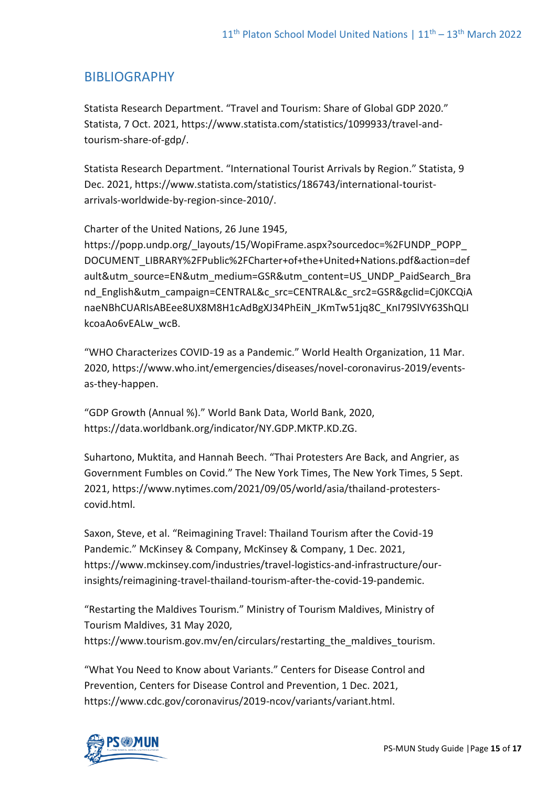# BIBLIOGRAPHY

Statista Research Department. "Travel and Tourism: Share of Global GDP 2020." Statista, 7 Oct. 2021, [https://www.statista.com/statistics/1099933/travel-and](https://www.statista.com/statistics/1099933/travel-and-tourism-share-of-gdp/)[tourism-share-of-gdp/.](https://www.statista.com/statistics/1099933/travel-and-tourism-share-of-gdp/)

Statista Research Department. "International Tourist Arrivals by Region." Statista, 9 Dec. 2021, https://www.statista.com/statistics/186743/international-touristarrivals-worldwide-by-region-since-2010/.

Charter of the United Nations, 26 June 1945,

https://popp.undp.org/ layouts/15/WopiFrame.aspx?sourcedoc=%2FUNDP\_POPP DOCUMENT\_LIBRARY%2FPublic%2FCharter+of+the+United+Nations.pdf&action=def ault&utm\_source=EN&utm\_medium=GSR&utm\_content=US\_UNDP\_PaidSearch\_Bra nd\_English&utm\_campaign=CENTRAL&c\_src=CENTRAL&c\_src2=GSR&gclid=Cj0KCQiA naeNBhCUARIsABEee8UX8M8H1cAdBgXJ34PhEiN\_JKmTw51jq8C\_KnI79SlVY63ShQLI kcoaAo6vEALw\_wcB.

"WHO Characterizes COVID-19 as a Pandemic." World Health Organization, 11 Mar. 2020, https://www.who.int/emergencies/diseases/novel-coronavirus-2019/eventsas-they-happen.

"GDP Growth (Annual %)." World Bank Data, World Bank, 2020, https://data.worldbank.org/indicator/NY.GDP.MKTP.KD.ZG.

Suhartono, Muktita, and Hannah Beech. "Thai Protesters Are Back, and Angrier, as Government Fumbles on Covid." The New York Times, The New York Times, 5 Sept. 2021, https://www.nytimes.com/2021/09/05/world/asia/thailand-protesterscovid.html.

Saxon, Steve, et al. "Reimagining Travel: Thailand Tourism after the Covid-19 Pandemic." McKinsey & Company, McKinsey & Company, 1 Dec. 2021, https://www.mckinsey.com/industries/travel-logistics-and-infrastructure/ourinsights/reimagining-travel-thailand-tourism-after-the-covid-19-pandemic.

"Restarting the Maldives Tourism." Ministry of Tourism Maldives, Ministry of Tourism Maldives, 31 May 2020, https://www.tourism.gov.mv/en/circulars/restarting the maldives tourism.

"What You Need to Know about Variants." Centers for Disease Control and Prevention, Centers for Disease Control and Prevention, 1 Dec. 2021, https://www.cdc.gov/coronavirus/2019-ncov/variants/variant.html.

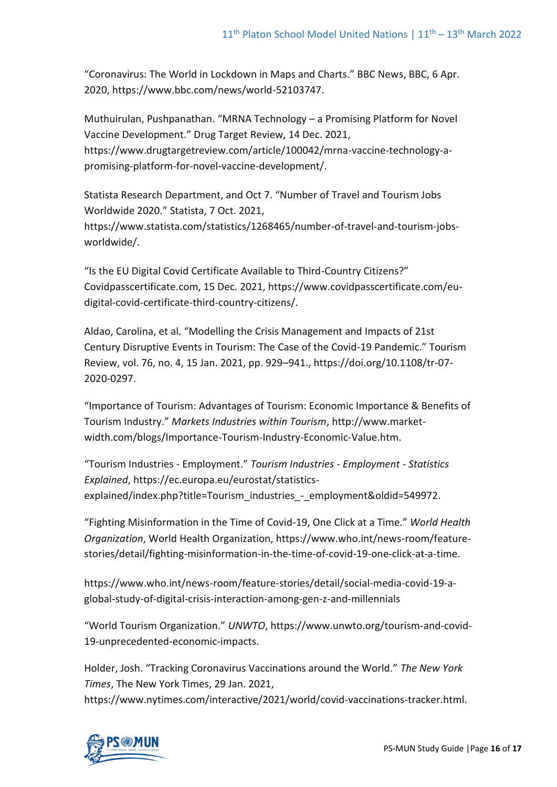"Coronavirus: The World in Lockdown in Maps and Charts." BBC News, BBC, 6 Apr. 2020, https://www.bbc.com/news/world-52103747.

Muthuirulan, Pushpanathan. "MRNA Technology – a Promising Platform for Novel Vaccine Development." Drug Target Review, 14 Dec. 2021, https://www.drugtargetreview.com/article/100042/mrna-vaccine-technology-apromising-platform-for-novel-vaccine-development/.

Statista Research Department, and Oct 7. "Number of Travel and Tourism Jobs Worldwide 2020." Statista, 7 Oct. 2021, https://www.statista.com/statistics/1268465/number-of-travel-and-tourism-jobsworldwide/.

"Is the EU Digital Covid Certificate Available to Third-Country Citizens?" Covidpasscertificate.com, 15 Dec. 2021, https://www.covidpasscertificate.com/eudigital-covid-certificate-third-country-citizens/.

Aldao, Carolina, et al. "Modelling the Crisis Management and Impacts of 21st Century Disruptive Events in Tourism: The Case of the Covid-19 Pandemic." Tourism Review, vol. 76, no. 4, 15 Jan. 2021, pp. 929–941., https://doi.org/10.1108/tr-07- 2020-0297.

"Importance of Tourism: Advantages of Tourism: Economic Importance & Benefits of Tourism Industry." *Markets Industries within Tourism*, http://www.marketwidth.com/blogs/Importance-Tourism-Industry-Economic-Value.htm.

"Tourism Industries - Employment." *Tourism Industries - Employment - Statistics Explained*, https://ec.europa.eu/eurostat/statisticsexplained/index.php?title=Tourism\_industries\_-\_employment&oldid=549972.

"Fighting Misinformation in the Time of Covid-19, One Click at a Time." *World Health Organization*, World Health Organization, https://www.who.int/news-room/featurestories/detail/fighting-misinformation-in-the-time-of-covid-19-one-click-at-a-time.

https://www.who.int/news-room/feature-stories/detail/social-media-covid-19-aglobal-study-of-digital-crisis-interaction-among-gen-z-and-millennials

"World Tourism Organization." *UNWTO*, https://www.unwto.org/tourism-and-covid-19-unprecedented-economic-impacts.

Holder, Josh. "Tracking Coronavirus Vaccinations around the World." *The New York Times*, The New York Times, 29 Jan. 2021, https://www.nytimes.com/interactive/2021/world/covid-vaccinations-tracker.html.